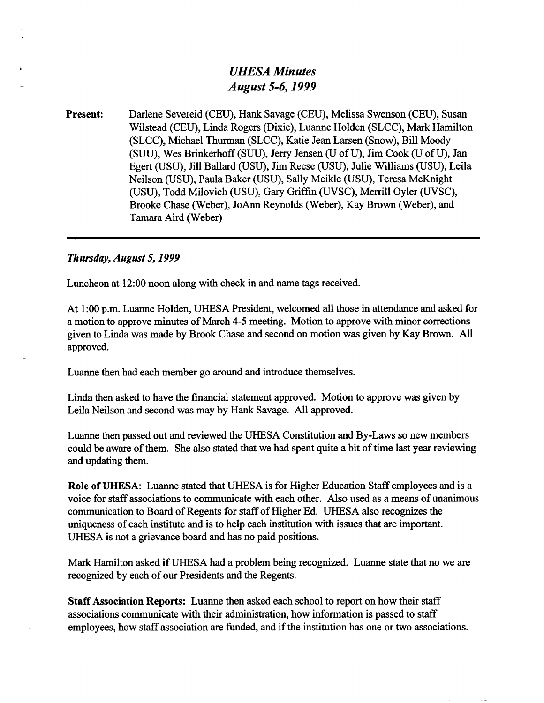# *UHESA Minutes August 5-6,1999*

**Present:** Darlene Severeid (CEU), Hank Savage (CEU), Melissa Swenson (CEU), Susan Wilstead (CEU), Linda Rogers (Dixie), Luanne Holden (SLCC), Mark Hamilton (SLCC), Michael Thurman (SLCC), Katie Jean Larsen (Snow), Bill Moody (SUU), Wes Brinkerhoff (SUU), Jerry Jensen (U of U), Jim Cook (U of U), Jan Egert (USU), Jill Ballard (USU), Jim Reese (USU), Julie Williams (USU), Leila Neilson (USU), Paula Baker (USU), Sally Meikle (USU), Teresa McKnight (USU), Todd Milovich (USU), Gary Griffin (UVSC), Merrill Oyler (UVSC), Brooke Chase (Weber), JoAnn Reynolds (Weber), Kay Brown (Weber), and Tamara Aird (Weber)

## *Thursday, August 5,1999*

Luncheon at 12:00 noon along with check in and name tags received.

At 1:00 p.m. Luanne Holden, UHESA President, welcomed all those in attendance and asked for a motion to approve minutes of March 4-5 meeting. Motion to approve with minor corrections given to Linda was made by Brook Chase and second on motion was given by Kay Brown. All approved.

Luanne then had each member go around and introduce themselves.

Linda then asked to have the financial statement approved. Motion to approve was given by Leila Neilson and second was may by Hank Savage. All approved.

Luanne then passed out and reviewed the UHESA Constitution and By-Laws so new members could be aware of them. She also stated that we had spent quite a bit of time last year reviewing and updating them.

**Role of UHESA:** Luanne stated that UHESA is for Higher Education Staff employees and is a voice for staff associations to communicate with each other. Also used as a means of unanimous communication to Board of Regents for staff of Higher Ed. UHESA also recognizes the uniqueness of each institute and is to help each institution with issues that are important. UHESA is not a grievance board and has no paid positions.

Mark Hamilton asked if UHESA had a problem being recognized. Luanne state that no we are recognized by each of our Presidents and the Regents.

**Staff Association Reports:** Luanne then asked each school to report on how their staff associations communicate with their administration, how information is passed to staff employees, how staff association are funded, and if the institution has one or two associations.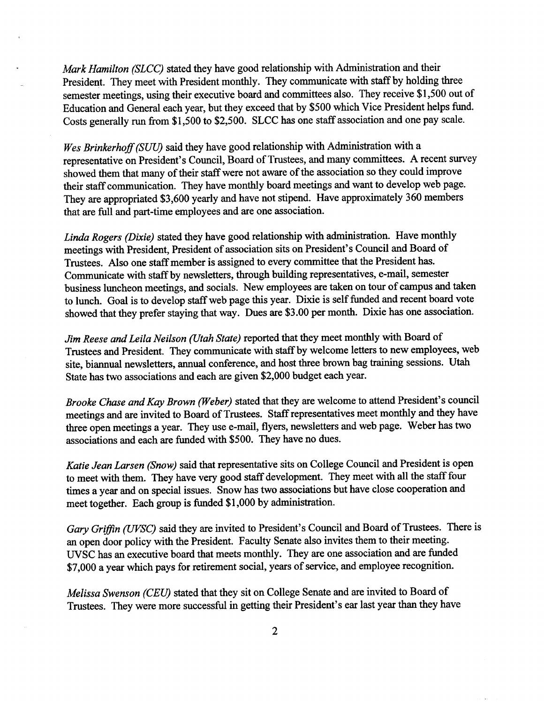*Mark Hamilton (SLCC)* stated they have good relationship with Administration and their President. They meet with President monthly. They communicate with staff by holding three semester meetings, using their executive board and committees also. They receive \$1,500 out of Education and General each year, but they exceed that by \$500 which Vice President helps fund. Costs generally run from \$1,500 to \$2,500. SLCC has one staff association and one pay scale.

*Wes Brinkerhoff (SUU)* said they have good relationship with Administration with a representative on President's Council, Board of Trustees, and many committees. A recent survey showed them that many of their staff were not aware of the association so they could improve their staff communication. They have monthly board meetings and want to develop web page. They are appropriated \$3,600 yearly and have not stipend. Have approximately 360 members that are full and part-time employees and are one association.

*Linda Rogers (Dixie)* stated they have good relationship with administration. Have monthly meetings with President, President of association sits on President's Council and Board of Trustees. Also one staff member is assigned to every committee that the President has. Communicate with staff by newsletters, through building representatives, e-mail, semester business luncheon meetings, and socials. New employees are taken on tour of campus and taken to lunch. Goal is to develop staff web page this year. Dixie is self funded and recent board vote showed that they prefer staying that way. Dues are \$3.00 per month. Dixie has one association.

*Jim Reese and Leila Neilson (Utah State)* reported that they meet monthly with Board of Trustees and President. They communicate with staff by welcome letters to new employees, web site, biannual newsletters, annual conference, and host three brown bag training sessions. Utah State has two associations and each are given \$2,000 budget each year.

*Brooke Chase and Kay Brown (Weber)* stated that they are welcome to attend President's council meetings and are invited to Board of Trustees. Staff representatives meet monthly and they have three open meetings a year. They use e-mail, flyers, newsletters and web page. Weber has two associations and each are funded with \$500. They have no dues.

*Katie Jean Larsen (Snow)* said that representative sits on College Council and President is open to meet with them. They have very good staff development. They meet with all the staff four times a year and on special issues. Snow has two associations but have close cooperation and meet together. Each group is funded \$1,000 by administration.

*Gary Griffin (UVSC)* said they are invited to President's Council and Board of Trustees. There is an open door policy with the President. Faculty Senate also invites them to their meeting. UVSC has an executive board that meets monthly. They are one association and are funded \$7,000 a year which pays for retirement social, years of service, and employee recognition.

*Melissa Swenson (CEU)* stated that they sit on College Senate and are invited to Board of Trustees. They were more successful in getting their President's ear last year than they have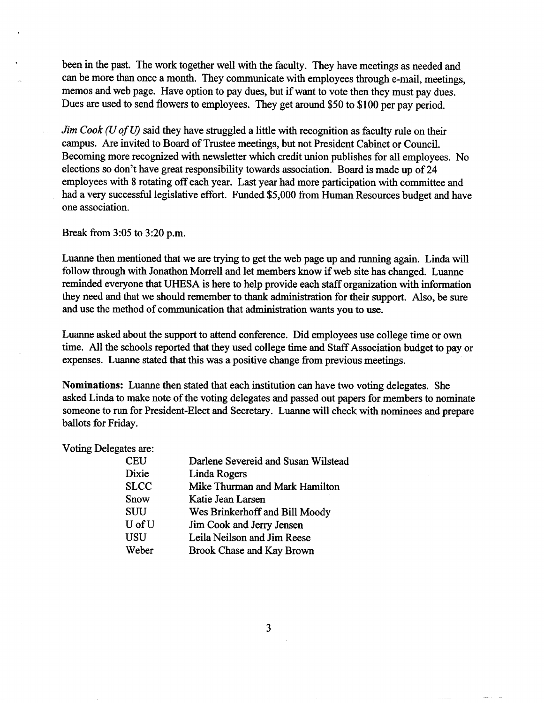been in the past. The work together well with the faculty. They have meetings as needed and can be more than once a month. They communicate with employees through e-mail, meetings, memos and web page. Have option to pay dues, but if want to vote then they must pay dues. Dues are used to send flowers to employees. They get around \$50 to \$100 per pay period.

*Jim Cook (U of U)* said they have struggled a little with recognition as faculty rule on their campus. Are invited to Board of Trustee meetings, but not President Cabinet or Council. Becoming more recognized with newsletter which credit union publishes for all employees. No elections so don't have great responsibility towards association. Board is made up of 24 employees with 8 rotating off each year. Last year had more participation with committee and had a very successful legislative effort. Funded \$5,000 from Human Resources budget and have one association.

Break from 3:05 to 3:20 p.m.

Luanne then mentioned that we are trying to get the web page up and running again. Linda will follow through with Jonathon Morrell and let members know if web site has changed. Luanne reminded everyone that UHESA is here to help provide each staff organization with information they need and that we should remember to thank administration for their support. Also, be sure and use the method of communication that administration wants you to use.

Luanne asked about the support to attend conference. Did employees use college time or own time. All the schools reported that they used college time and Staff Association budget to pay or expenses. Luanne stated that this was a positive change from previous meetings.

**Nominations:** Luanne then stated that each institution can have two voting delegates. She asked Linda to make note of the voting delegates and passed out papers for members to nominate someone to run for President-Elect and Secretary. Luanne will check with nominees and prepare ballots for Friday.

#### Voting Delegates are:

| CEU                   | Darlene Severeid and Susan Wilstead |
|-----------------------|-------------------------------------|
| Dixie                 | Linda Rogers                        |
| $\operatorname{SLCC}$ | Mike Thurman and Mark Hamilton      |
| Snow                  | Katie Jean Larsen                   |
| SUU                   | Wes Brinkerhoff and Bill Moody      |
| U of U                | Jim Cook and Jerry Jensen           |
| USU                   | Leila Neilson and Jim Reese         |
| Weber                 | <b>Brook Chase and Kay Brown</b>    |

 $\overline{3}$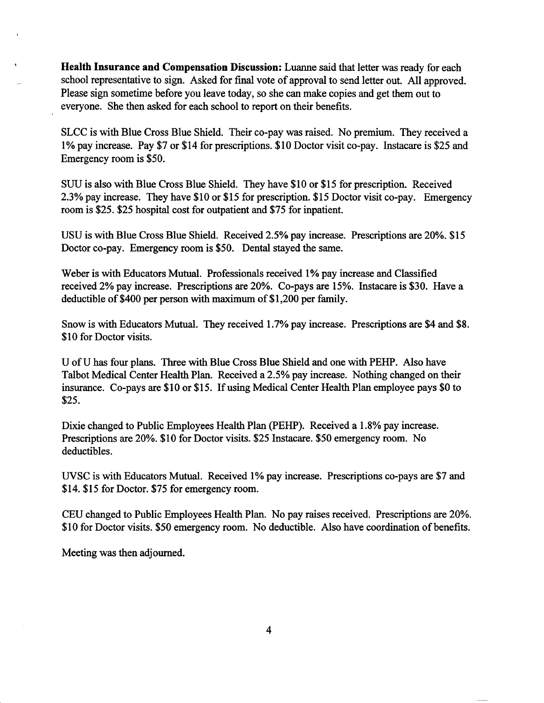**Health Insurance and Compensation Discussion:** Luanne said that letter was ready for each school representative to sign. Asked for final vote of approval to send letter out. All approved. Please sign sometime before you leave today, so she can make copies and get them out to everyone. She then asked for each school to report on their benefits.

SLCC is with Blue Cross Blue Shield. Their co-pay was raised. No premium. They received a 1% pay increase. Pay \$7 or \$14 for prescriptions. \$10 Doctor visit co-pay. Instacare is \$25 and Emergency room is \$50.

SUU is also with Blue Cross Blue Shield. They have \$10 or \$15 for prescription. Received 2.3% pay increase. They have \$10 or \$15 for prescription. \$15 Doctor visit co-pay. Emergency room is \$25. \$25 hospital cost for outpatient and \$75 for inpatient.

USU is with Blue Cross Blue Shield. Received 2.5% pay increase. Prescriptions are 20%. \$15 Doctor co-pay. Emergency room is \$50. Dental stayed the same.

Weber is with Educators Mutual. Professionals received 1% pay increase and Classified received 2% pay increase. Prescriptions are 20%. Co-pays are 15%. Instacare is \$30. Have a deductible of \$400 per person with maximum of \$1,200 per family.

Snow is with Educators Mutual. They received 1.7% pay increase. Prescriptions are \$4 and \$8. \$10 for Doctor visits.

U of U has four plans. Three with Blue Cross Blue Shield and one with PEHP. Also have Talbot Medical Center Health Plan. Received a 2.5% pay increase. Nothing changed on their insurance. Co-pays are \$10 or \$15. If using Medical Center Health Plan employee pays \$0 to \$25.

Dixie changed to Public Employees Health Plan (PEHP). Received a 1.8% pay increase. Prescriptions are 20%. \$10 for Doctor visits. \$25 Instacare. \$50 emergency room. No deductibles.

UVSC is with Educators Mutual. Received 1% pay increase. Prescriptions co-pays are \$7 and \$14. \$15 for Doctor. \$75 for emergency room.

CEU changed to Public Employees Health Plan. No pay raises received. Prescriptions are 20%. \$10 for Doctor visits. \$50 emergency room. No deductible. Also have coordination of benefits.

Meeting was then adjourned.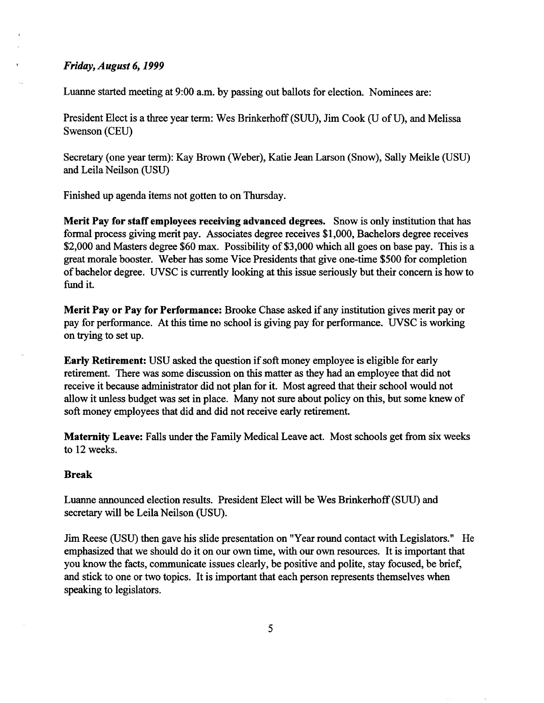## *Friday, August 6,1999*

Luanne started meeting at 9:00 a.m. by passing out ballots for election. Nominees are:

President Elect is a three year term: Wes Brinkerhoff(SUU), Jim Cook (U *of IT),* and Melissa Swenson (CEU)

Secretary (one year term): Kay Brown (Weber), Katie Jean Larson (Snow), Sally Meikle (USU) and Leila Neilson (USU)

Finished up agenda items not gotten to on Thursday.

**Merit Pay for staff employees receiving advanced degrees.** Snow is only institution that has formal process giving merit pay. Associates degree receives \$1,000, Bachelors degree receives \$2,000 and Masters degree \$60 max. Possibility of \$3,000 which all goes on base pay. This is a great morale booster. Weber has some Vice Presidents that give one-tune \$500 for completion of bachelor degree. UVSC is currently looking at this issue seriously but their concern is how to fund it.

**Merit Pay or Pay for Performance:** Brooke Chase asked if any institution gives merit pay or pay for performance. At this time no school is giving pay for performance. UVSC is working on trying to set up.

**Early Retirement:** USU asked the question if soft money employee is eligible for early retirement. There was some discussion on this matter as they had an employee that did not receive it because administrator did not plan for it. Most agreed that their school would not allow it unless budget was set in place. Many not sure about policy on this, but some knew of soft money employees that did and did not receive early retirement.

**Maternity Leave:** Falls under the Family Medical Leave act. Most schools get from six weeks to 12 weeks.

### **Break**

Luanne announced election results. President Elect will be Wes Brinkerhoff (SUU) and secretary will be Leila Neilson (USU).

Jim Reese (USU) then gave his slide presentation on "Year round contact with Legislators." He emphasized that we should do it on our own time, with our own resources. It is important that you know the facts, communicate issues clearly, be positive and polite, stay focused, be brief, and stick to one or two topics. It is important that each person represents themselves when speaking to legislators.